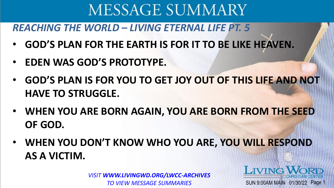#### *REACHING THE WORLD – LIVING ETERNAL LIFE PT. 5*

- **GOD'S PLAN FOR THE EARTH IS FOR IT TO BE LIKE HEAVEN.**
- **EDEN WAS GOD'S PROTOTYPE.**
- **GOD'S PLAN IS FOR YOU TO GET JOY OUT OF THIS LIFE AND NOT HAVE TO STRUGGLE.**
- **WHEN YOU ARE BORN AGAIN, YOU ARE BORN FROM THE SEED OF GOD.**
- **WHEN YOU DON'T KNOW WHO YOU ARE, YOU WILL RESPOND AS A VICTIM.**

*VISIT WWW.LIVINGWD.ORG/LWCC-ARCHIVES TO VIEW MESSAGE SUMMARIES*

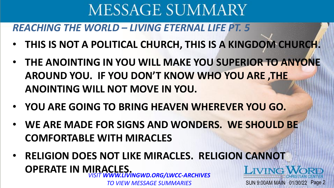### *REACHING THE WORLD – LIVING ETERNAL LIFE PT. 5*

- **THIS IS NOT A POLITICAL CHURCH, THIS IS A KINGDOM CHURCH.**
- **THE ANOINTING IN YOU WILL MAKE YOU SUPERIOR TO ANYONE AROUND YOU. IF YOU DON'T KNOW WHO YOU ARE ,THE ANOINTING WILL NOT MOVE IN YOU.**
- **YOU ARE GOING TO BRING HEAVEN WHEREVER YOU GO.**
- **WE ARE MADE FOR SIGNS AND WONDERS. WE SHOULD BE COMFORTABLE WITH MIRACLES**
- **RELIGION DOES NOT LIKE MIRACLES. RELIGION CANNOT OPERATE IN MIRACLES.**  *VISIT WWW.LIVINGWD.ORG/LWCC-ARCHIVES*  LIVING SUN 9:00AM MAIN 01/30/22 Page 2

*TO VIEW MESSAGE SUMMARIES*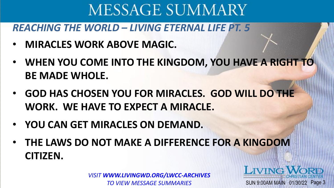### *REACHING THE WORLD – LIVING ETERNAL LIFE PT. 5*

- **MIRACLES WORK ABOVE MAGIC.**
- **WHEN YOU COME INTO THE KINGDOM, YOU HAVE A RIGHT TO BE MADE WHOLE.**
- **GOD HAS CHOSEN YOU FOR MIRACLES. GOD WILL DO THE WORK. WE HAVE TO EXPECT A MIRACLE.**
- **YOU CAN GET MIRACLES ON DEMAND.**
- **THE LAWS DO NOT MAKE A DIFFERENCE FOR A KINGDOM CITIZEN.**

*VISIT WWW.LIVINGWD.ORG/LWCC-ARCHIVES TO VIEW MESSAGE SUMMARIES*